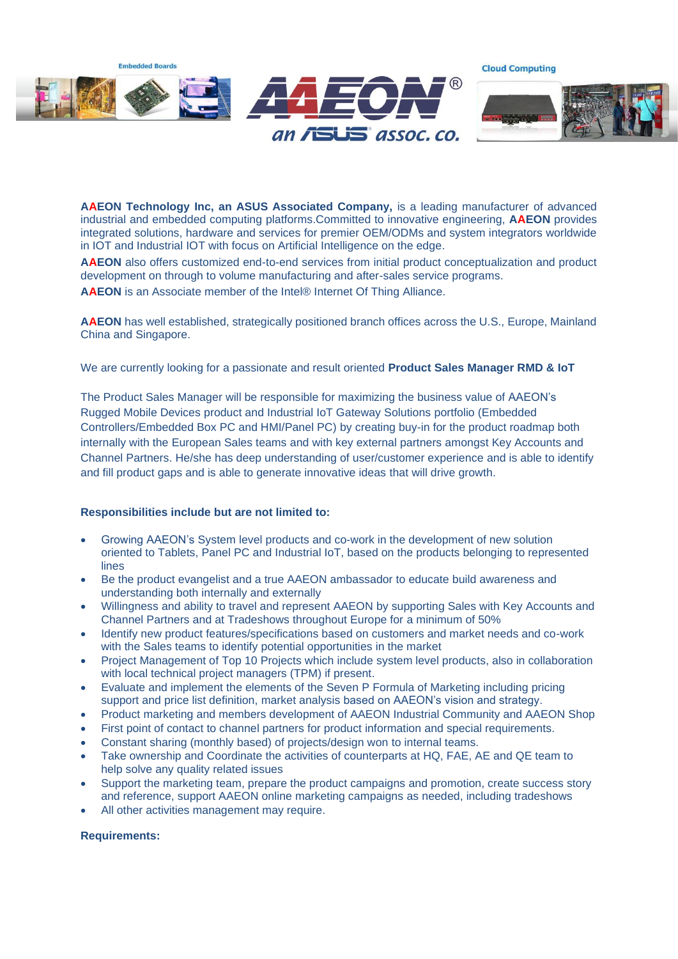

**AAEON Technology Inc, an ASUS Associated Company,** is a leading manufacturer of advanced industrial and embedded computing platforms.Committed to innovative engineering, **AAEON** provides integrated solutions, hardware and services for premier OEM/ODMs and system integrators worldwide in IOT and Industrial IOT with focus on Artificial Intelligence on the edge.

**AAEON** also offers customized end-to-end services from initial product conceptualization and product development on through to volume manufacturing and after-sales service programs.

**AAEON** is an Associate member of the Intel® Internet Of Thing Alliance.

**AAEON** has well established, strategically positioned branch offices across the U.S., Europe, Mainland China and Singapore.

We are currently looking for a passionate and result oriented **Product Sales Manager RMD & IoT**

The Product Sales Manager will be responsible for maximizing the business value of AAEON's Rugged Mobile Devices product and Industrial IoT Gateway Solutions portfolio (Embedded Controllers/Embedded Box PC and HMI/Panel PC) by creating buy-in for the product roadmap both internally with the European Sales teams and with key external partners amongst Key Accounts and Channel Partners. He/she has deep understanding of user/customer experience and is able to identify and fill product gaps and is able to generate innovative ideas that will drive growth.

## **Responsibilities include but are not limited to:**

- Growing AAEON's System level products and co-work in the development of new solution oriented to Tablets, Panel PC and Industrial IoT, based on the products belonging to represented lines
- Be the product evangelist and a true AAEON ambassador to educate build awareness and understanding both internally and externally
- Willingness and ability to travel and represent AAEON by supporting Sales with Key Accounts and Channel Partners and at Tradeshows throughout Europe for a minimum of 50%
- Identify new product features/specifications based on customers and market needs and co-work with the Sales teams to identify potential opportunities in the market
- Project Management of Top 10 Projects which include system level products, also in collaboration with local technical project managers (TPM) if present.
- Evaluate and implement the elements of the Seven P Formula of Marketing including pricing support and price list definition, market analysis based on AAEON's vision and strategy.
- Product marketing and members development of AAEON Industrial Community and AAEON Shop
- First point of contact to channel partners for product information and special requirements.
- Constant sharing (monthly based) of projects/design won to internal teams.
- Take ownership and Coordinate the activities of counterparts at HQ, FAE, AE and QE team to help solve any quality related issues
- Support the marketing team, prepare the product campaigns and promotion, create success story and reference, support AAEON online marketing campaigns as needed, including tradeshows
- All other activities management may require.

## **Requirements:**